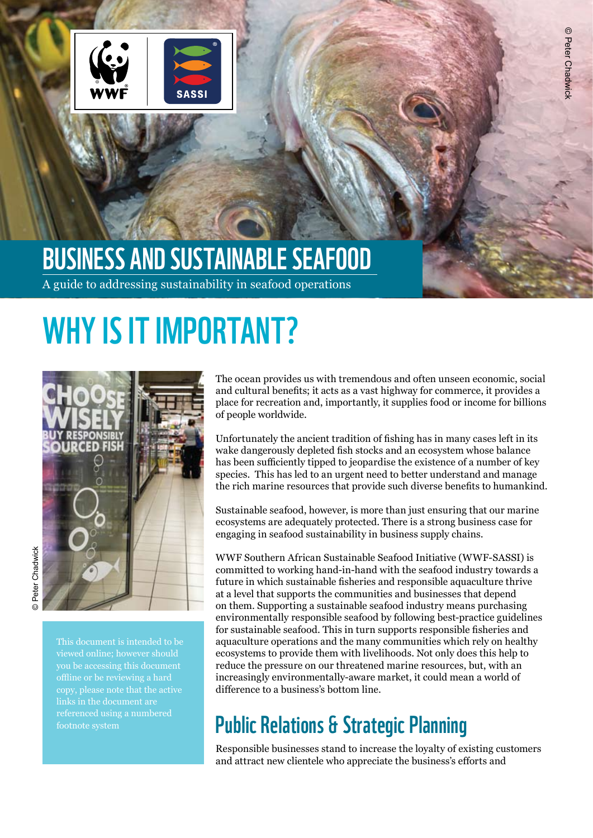

## Business and Sustainable Seafood

A guide to addressing sustainability in seafood operations

# WHY IS IT IMPORTANT?



This document is intended to be viewed online; however should links in the document are footnote system

The ocean provides us with tremendous and often unseen economic, social and cultural benefits; it acts as a vast highway for commerce, it provides a place for recreation and, importantly, it supplies food or income for billions of people worldwide.

Unfortunately the ancient tradition of fishing has in many cases left in its wake dangerously depleted fish stocks and an ecosystem whose balance has been sufficiently tipped to jeopardise the existence of a number of key species. This has led to an urgent need to better understand and manage the rich marine resources that provide such diverse benefits to humankind.

Sustainable seafood, however, is more than just ensuring that our marine ecosystems are adequately protected. There is a strong business case for engaging in seafood sustainability in business supply chains.

WWF Southern African Sustainable Seafood Initiative (WWF-SASSI) is committed to working hand-in-hand with the seafood industry towards a future in which sustainable fisheries and responsible aquaculture thrive at a level that supports the communities and businesses that depend on them. Supporting a sustainable seafood industry means purchasing environmentally responsible seafood by following best-practice guidelines for sustainable seafood. This in turn supports responsible fisheries and aquaculture operations and the many communities which rely on healthy ecosystems to provide them with livelihoods. Not only does this help to reduce the pressure on our threatened marine resources, but, with an increasingly environmentally-aware market, it could mean a world of difference to a business's bottom line.

### Public Relations & Strategic Planning

Responsible businesses stand to increase the loyalty of existing customers and attract new clientele who appreciate the business's efforts and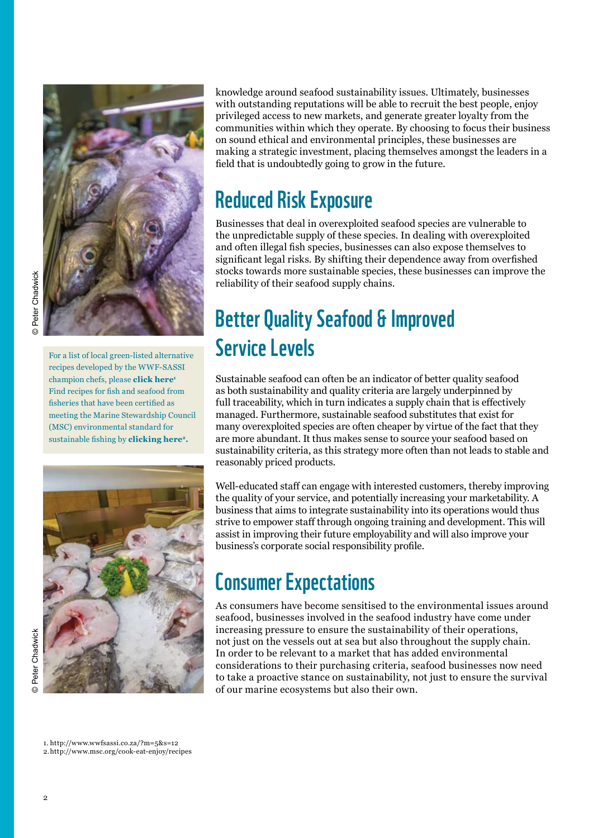

For a list of local green-listed alternative recipes developed by the WWF-SASSI champion chefs, please **[click here1](http://www.wwfsassi.co.za/?m=5&s=12)** Find recipes for fish and seafood from fisheries that have been certified as meeting the Marine Stewardship Council (MSC) environmental standard for sustainable fishing by **[clicking here2](http://www.msc.org/cook-eat-enjoy/recipes).**



knowledge around seafood sustainability issues. Ultimately, businesses with outstanding reputations will be able to recruit the best people, enjoy privileged access to new markets, and generate greater loyalty from the communities within which they operate. By choosing to focus their business on sound ethical and environmental principles, these businesses are making a strategic investment, placing themselves amongst the leaders in a field that is undoubtedly going to grow in the future.

### Reduced Risk Exposure

Businesses that deal in overexploited seafood species are vulnerable to the unpredictable supply of these species. In dealing with overexploited and often illegal fish species, businesses can also expose themselves to significant legal risks. By shifting their dependence away from overfished stocks towards more sustainable species, these businesses can improve the reliability of their seafood supply chains.

### Better Quality Seafood & Improved Service Levels

Sustainable seafood can often be an indicator of better quality seafood as both sustainability and quality criteria are largely underpinned by full traceability, which in turn indicates a supply chain that is effectively managed. Furthermore, sustainable seafood substitutes that exist for many overexploited species are often cheaper by virtue of the fact that they are more abundant. It thus makes sense to source your seafood based on sustainability criteria, as this strategy more often than not leads to stable and reasonably priced products.

Well-educated staff can engage with interested customers, thereby improving the quality of your service, and potentially increasing your marketability. A business that aims to integrate sustainability into its operations would thus strive to empower staff through ongoing training and development. This will assist in improving their future employability and will also improve your business's corporate social responsibility profile.

### Consumer Expectations

As consumers have become sensitised to the environmental issues around seafood, businesses involved in the seafood industry have come under increasing pressure to ensure the sustainability of their operations, not just on the vessels out at sea but also throughout the supply chain. In order to be relevant to a market that has added environmental considerations to their purchasing criteria, seafood businesses now need to take a proactive stance on sustainability, not just to ensure the survival of our marine ecosystems but also their own.

1. http://www.wwfsassi.co.za/?m=5&s=12 2. http://www.msc.org/cook-eat-enjoy/recipes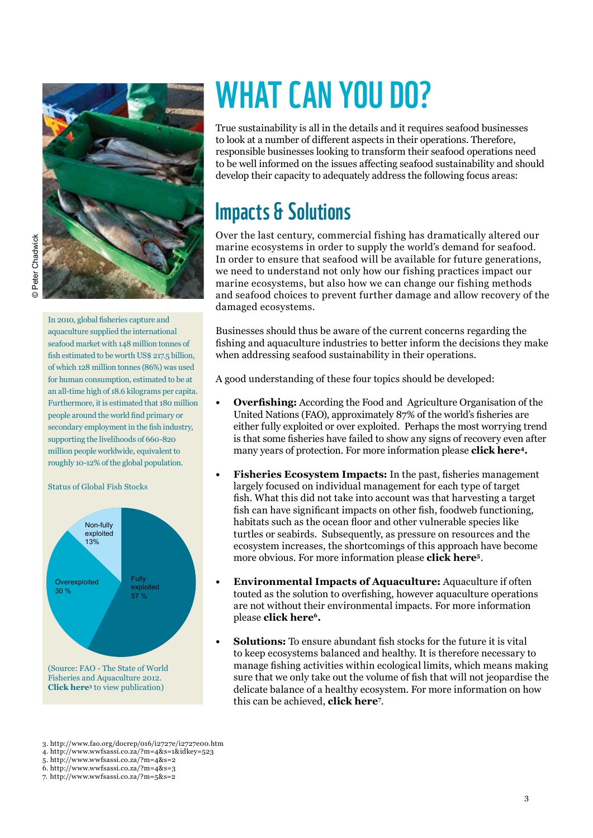

In 2010, global fisheries capture and aquaculture supplied the international seafood market with 148 million tonnes of fish estimated to be worth US\$ 217.5 billion, of which 128 million tonnes (86%) was used for human consumption, estimated to be at an all-time high of 18.6 kilograms per capita. Furthermore, it is estimated that 180 million people around the world find primary or secondary employment in the fish industry, supporting the livelihoods of 660-820 million people worldwide, equivalent to roughly 10-12% of the global population.

Status of Global Fish Stocks



# WHAT CAN YOU DO?

True sustainability is all in the details and it requires seafood businesses to look at a number of different aspects in their operations. Therefore, responsible businesses looking to transform their seafood operations need to be well informed on the issues affecting seafood sustainability and should develop their capacity to adequately address the following focus areas:

### Impacts & Solutions

Over the last century, commercial fishing has dramatically altered our marine ecosystems in order to supply the world's demand for seafood. In order to ensure that seafood will be available for future generations, we need to understand not only how our fishing practices impact our marine ecosystems, but also how we can change our fishing methods and seafood choices to prevent further damage and allow recovery of the damaged ecosystems.

Businesses should thus be aware of the current concerns regarding the fishing and aquaculture industries to better inform the decisions they make when addressing seafood sustainability in their operations.

A good understanding of these four topics should be developed:

- **Overfishing:** According the Food and Agriculture Organisation of the United Nations (FAO), approximately 87% of the world's fisheries are either fully exploited or over exploited. Perhaps the most worrying trend is that some fisheries have failed to show any signs of recovery even after many years of protection. For more information please **[click here4](http://www.wwfsassi.co.za/?m=4&s=1&idkey=523).**
- **• Fisheries Ecosystem Impacts:** In the past, fisheries management largely focused on individual management for each type of target fish. What this did not take into account was that harvesting a target fish can have significant impacts on other fish, foodweb functioning, habitats such as the ocean floor and other vulnerable species like turtles or seabirds. Subsequently, as pressure on resources and the ecosystem increases, the shortcomings of this approach have become more obvious. For more information please **[click here5](http://www.wwfsassi.co.za/?m=4&s=2)**.
- **• Environmental Impacts of Aquaculture:** Aquaculture if often touted as the solution to overfishing, however aquaculture operations are not without their environmental impacts. For more information please **[click here6](http://www.wwfsassi.co.za/?m=4&s=3).**
- **Solutions:** To ensure abundant fish stocks for the future it is vital to keep ecosystems balanced and healthy. It is therefore necessary to manage fishing activities within ecological limits, which means making sure that we only take out the volume of fish that will not jeopardise the delicate balance of a healthy ecosystem. For more information on how this can be achieved, **[click here7](http://www.wwfsassi.co.za/?m=5&s=2)** .

3. http://www.fao.org/docrep/016/i2727e/i2727e00.htm

4. http://www.wwfsassi.co.za/?m=4&s=1&idkey=523

5. http://www.wwfsassi.co.za/?m=4&s=2

6. http://www.wwfsassi.co.za/?m=4&s=3

7. http://www.wwfsassi.co.za/?m=5&s=2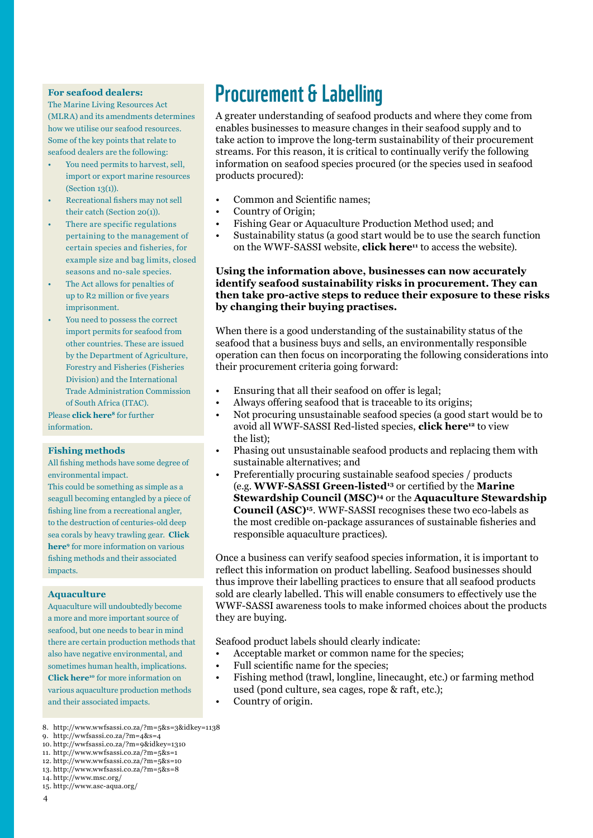#### **For seafood dealers:**

The Marine Living Resources Act (MLRA) and its amendments determines how we utilise our seafood resources. Some of the key points that relate to seafood dealers are the following:

- You need permits to harvest, sell, import or export marine resources (Section 13(1)).
- Recreational fishers may not sell their catch (Section 20(1)).
- There are specific regulations pertaining to the management of certain species and fisheries, for example size and bag limits, closed seasons and no-sale species.
- The Act allows for penalties of up to R2 million or five years imprisonment.
- You need to possess the correct import permits for seafood from other countries. These are issued by the Department of Agriculture, Forestry and Fisheries (Fisheries Division) and the International Trade Administration Commission of South Africa (ITAC).

Please **click here<sup>8</sup>** for further information.

#### **Fishing methods**

All fishing methods have some degree of environmental impact.

This could be something as simple as a seagull becoming entangled by a piece of fishing line from a recreational angler, to the destruction of centuries-old deep [sea corals by heavy trawling gear.](http://wwfsassi.co.za/?m=4&s=4) **Click here9** for more information on various fishing methods and their associated impacts.

#### **Aquaculture**

Aquaculture will undoubtedly become a more and more important source of seafood, but one needs to bear in mind there are certain production methods that also have negative environmental, and sometimes human health, implications. **Click here<sup>10</sup>** for more information on various aquaculture production methods and their associated impacts.

### Procurement & Labelling

A greater understanding of seafood products and where they come from enables businesses to measure changes in their seafood supply and to take action to improve the long-term sustainability of their procurement streams. For this reason, it is critical to continually verify the following information on seafood species procured (or the species used in seafood products procured):

- Common and Scientific names;
- Country of Origin;
- Fishing Gear or Aquaculture Production Method used; and
- Sustainability status (a good start would be to use the search function on the WWF-SASSI website, **[click here11](http://www.wwfsassi.co.za/?m=5&s=1)** to access the website).

#### **Using the information above, businesses can now accurately identify seafood sustainability risks in procurement. They can then take pro-active steps to reduce their exposure to these risks by changing their buying practises.**

When there is a good understanding of the sustainability status of the seafood that a business buys and sells, an environmentally responsible operation can then focus on incorporating the following considerations into their procurement criteria going forward:

- Ensuring that all their seafood on offer is legal;
- Always offering seafood that is traceable to its origins;
- Not procuring unsustainable seafood species (a good start would be to avoid all WWF-SASSI Red-listed species, **[click here12](http://www.wwfsassi.co.za/?m=5&s=10)** to view the list);
- Phasing out unsustainable seafood products and replacing them with sustainable alternatives; and
- Preferentially procuring sustainable seafood species / products (e.g. **[WWF-SASSI](http://www.wwfsassi.co.za/?m=5&s=8) Green-listed<sup>13</sup>** [or certified by the](http://www.msc.org/) **Marine Stewardship Council (MSC)<sup>14</sup>** or the **Aquaculture Stewardship Council (ASC)<sup>15</sup>**[. WWF-SASSI recognises these two eco-labels as](http://www.asc-aqua.org/)  the most credible on-package assurances of sustainable fisheries and responsible aquaculture practices).

Once a business can verify seafood species information, it is important to reflect this information on product labelling. Seafood businesses should thus improve their labelling practices to ensure that all seafood products sold are clearly labelled. This will enable consumers to effectively use the WWF-SASSI awareness tools to make informed choices about the products they are buying.

Seafood product labels should clearly indicate:

- Acceptable market or common name for the species;
- Full scientific name for the species;
- Fishing method (trawl, longline, linecaught, etc.) or farming method used (pond culture, sea cages, rope & raft, etc.);
- Country of origin.

<sup>8.</sup> http://www.wwfsassi.co.za/?m=5&s=3&idkey=1138

<sup>9.</sup> http://wwfsassi.co.za/?m=4&s=4

<sup>10.</sup> http://wwfsassi.co.za/?m=9&idkey=1310

<sup>11.</sup> http://www.wwfsassi.co.za/?m=5&s=1 12. http://www.wwfsassi.co.za/?m=5&s=10

<sup>13.</sup> http://www.wwfsassi.co.za/?m=5&s=8

<sup>14.</sup> http://www.msc.org/

<sup>15.</sup> http://www.asc-aqua.org/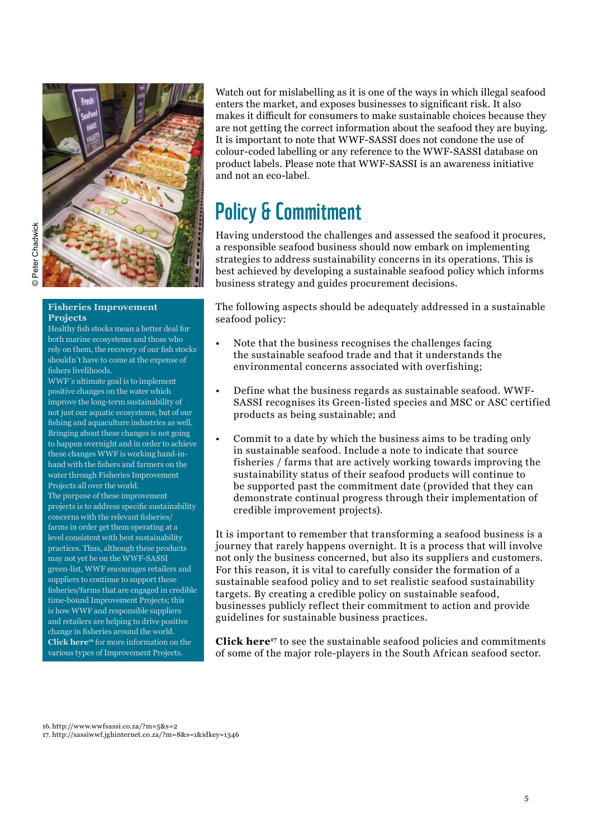

#### **Fisheries Improvement Projects**

Healthy fish stocks mean a better deal for both marine ecosystems and those who rely on them, the recovery of our fish stocks shouldn´t have to come at the expense of fishers livelihoods.

WWF´s ultimate goal is to implement positive changes on the water which improve the long-term sustainability of not just our aquatic ecosystems, but of our fishing and aquaculture industries as well. Bringing about these changes is not going to happen overnight and in order to achieve these changes WWF is working hand-inhand with the fishers and farmers on the water through Fisheries Improvement Projects all over the world. The purpose of these improvement projects is to address specific sustainability concerns with the relevant fisheries/ farms in order get them operating at a level consistent with best sustainability practices. Thus, although these products may not yet be on the WWF-SASSI green-list, WWF encourages retailers and suppliers to continue to support these fisheries/farms that are engaged in credible time-bound Improvement Projects; this is how WWF and responsible suppliers and retailers are helping to drive positive change in fisheries around the world. **Click here<sup>16</sup>** for more information on the various types of Improvement Projects.

Watch out for mislabelling as it is one of the ways in which illegal seafood enters the market, and exposes businesses to significant risk. It also makes it difficult for consumers to make sustainable choices because they are not getting the correct information about the seafood they are buying. It is important to note that WWF-SASSI does not condone the use of colour-coded labelling or any reference to the WWF-SASSI database on product labels. Please note that WWF-SASSI is an awareness initiative and not an eco-label.

### Policy & Commitment

Having understood the challenges and assessed the seafood it procures, a responsible seafood business should now embark on implementing strategies to address sustainability concerns in its operations. This is best achieved by developing a sustainable seafood policy which informs business strategy and guides procurement decisions.

The following aspects should be adequately addressed in a sustainable seafood policy:

- Note that the business recognises the challenges facing the sustainable seafood trade and that it understands the environmental concerns associated with overfishing;
- Define what the business regards as sustainable seafood. WWF-SASSI recognises its Green-listed species and MSC or ASC certified products as being sustainable; and
- Commit to a date by which the business aims to be trading only in sustainable seafood. Include a note to indicate that source fisheries / farms that are actively working towards improving the sustainability status of their seafood products will continue to be supported past the commitment date (provided that they can demonstrate continual progress through their implementation of credible improvement projects).

It is important to remember that transforming a seafood business is a journey that rarely happens overnight. It is a process that will involve not only the business concerned, but also its suppliers and customers. For this reason, it is vital to carefully consider the formation of a sustainable seafood policy and to set realistic seafood sustainability targets. By creating a credible policy on sustainable seafood, businesses publicly reflect their commitment to action and provide guidelines for sustainable business practices.

**[Click here17](http://sassiwwf.jghinternet.co.za/?m=8&s=1&idkey=1346)** to see the sustainable seafood policies and commitments of some of the major role-players in the South African seafood sector.

16. http://www.wwfsassi.co.za/?m=5&s=2 17. http://sassiwwf.jghinternet.co.za/?m=8&s=1&idkey=1346

5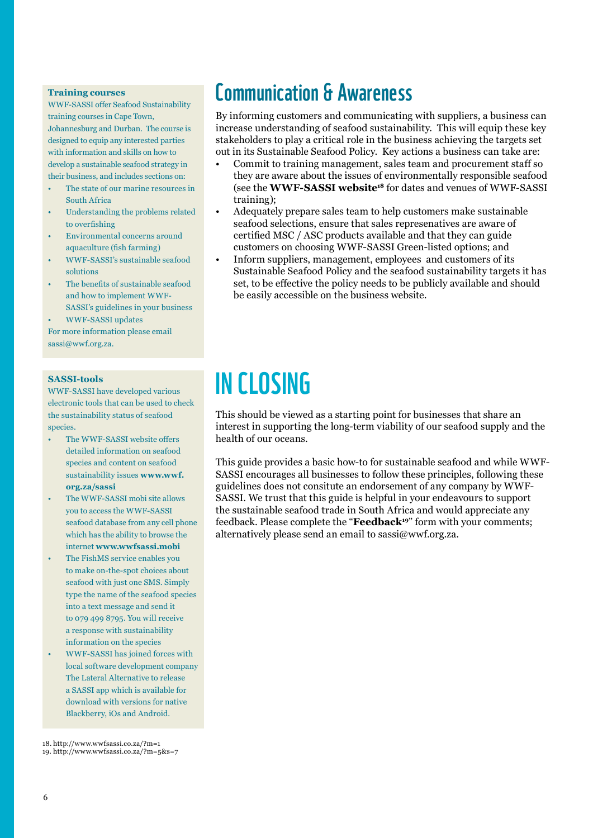#### **Training courses**

WWF-SASSI offer Seafood Sustainability training courses in Cape Town, Johannesburg and Durban. The course is designed to equip any interested parties with information and skills on how to develop a sustainable seafood strategy in their business, and includes sections on:

- The state of our marine resources in South Africa
- Understanding the problems related to overfishing
- Environmental concerns around aquaculture (fish farming)
- WWF-SASSI's sustainable seafood solutions
- The benefits of sustainable seafood and how to implement WWF-SASSI's guidelines in your business

• WWF-SASSI updates

For more information please email sassi@wwf.org.za.

#### **SASSI-tools**

WWF-SASSI have developed various electronic tools that can be used to check the sustainability status of seafood species.

- The WWF-SASSI website offers detailed information on seafood species and content on seafood sustainability issues **www.wwf. org.za/sassi**
- The WWF-SASSI mobi site allows you to access the WWF-SASSI seafood database from any cell phone which has the ability to browse the internet **www.wwfsassi.mobi**
- The FishMS service enables you to make on-the-spot choices about seafood with just one SMS. Simply type the name of the seafood species into a text message and send it to 079 499 8795. You will receive a response with sustainability information on the species
- WWF-SASSI has joined forces with local software development company The Lateral Alternative to release a SASSI app which is available for download with versions for native Blackberry, iOs and Android.

18. http://www.wwfsassi.co.za/?m=1 19. http://www.wwfsassi.co.za/?m=5&s=7

### Communication & Awareness

By informing customers and communicating with suppliers, a business can increase understanding of seafood sustainability. This will equip these key stakeholders to play a critical role in the business achieving the targets set out in its Sustainable Seafood Policy. Key actions a business can take are:

- Commit to training management, sales team and procurement staff so they are aware about the issues of environmentally responsible seafood (see the **[WWF-SASSI](http://www.wwfsassi.co.za/?m=1) website<sup>18</sup>** for dates and venues of WWF-SASSI training);
- Adequately prepare sales team to help customers make sustainable seafood selections, ensure that sales represenatives are aware of certified MSC / ASC products available and that they can guide customers on choosing WWF-SASSI Green-listed options; and
- Inform suppliers, management, employees and customers of its Sustainable Seafood Policy and the seafood sustainability targets it has set, to be effective the policy needs to be publicly available and should be easily accessible on the business website.

## In Closing

This should be viewed as a starting point for businesses that share an interest in supporting the long-term viability of our seafood supply and the health of our oceans.

This guide provides a basic how-to for sustainable seafood and while WWF-SASSI encourages all businesses to follow these principles, following these guidelines does not consitute an endorsement of any company by WWF-SASSI. We trust that this guide is helpful in your endeavours to support the sustainable seafood trade in South Africa and would appreciate any feedback. Please complete the "**[Feedback](http://www.wwfsassi.co.za/?m=5&s=7)<sup>19</sup>**" form with your comments; alternatively please send an email to sassi@wwf.org.za.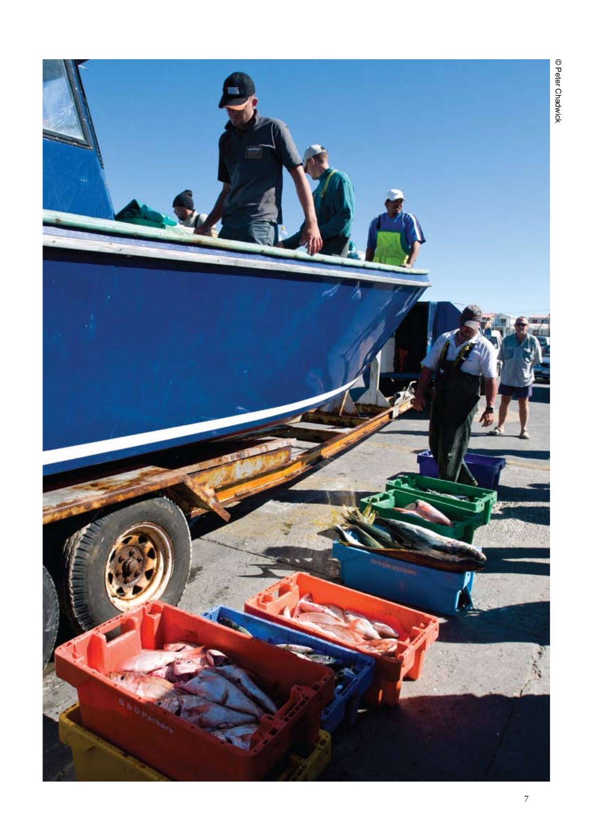